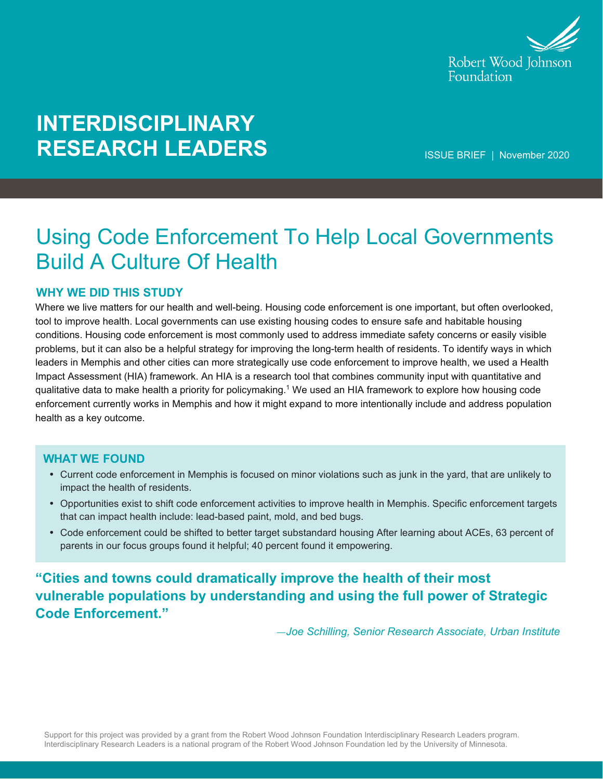

# **INTERDISCIPLINARY RESEARCH LEADERS**

ISSUE BRIEF | November 2020

## Using Code Enforcement To Help Local Governments Build A Culture Of Health

## **WHY WE DID THIS STUDY**

Where we live matters for our health and well-being. Housing code enforcement is one important, but often overlooked, tool to improve health. Local governments can use existing housing codes to ensure safe and habitable housing conditions. Housing code enforcement is most commonly used to address immediate safety concerns or easily visible problems, but it can also be a helpful strategy for improving the long-term health of residents. To identify ways in which leaders in Memphis and other cities can more strategically use code enforcement to improve health, we used a Health Impact Assessment (HIA) framework. An HIA is a research tool that combines community input with quantitative and qualitative data to make health a priority for policymaking.1 We used an HIA framework to explore how housing code enforcement currently works in Memphis and how it might expand to more intentionally include and address population health as a key outcome.

#### **WHAT WE FOUND**

- Current code enforcement in Memphis is focused on minor violations such as junk in the yard, that are unlikely to impact the health of residents.
- Opportunities exist to shift code enforcement activities to improve health in Memphis. Specific enforcement targets that can impact health include: lead-based paint, mold, and bed bugs.
- Code enforcement could be shifted to better target substandard housing After learning about ACEs, 63 percent of parents in our focus groups found it helpful; 40 percent found it empowering.

**"Cities and towns could dramatically improve the health of their most vulnerable populations by understanding and using the full power of Strategic Code Enforcement."**

*—Joe Schilling, Senior Research Associate, Urban Institute*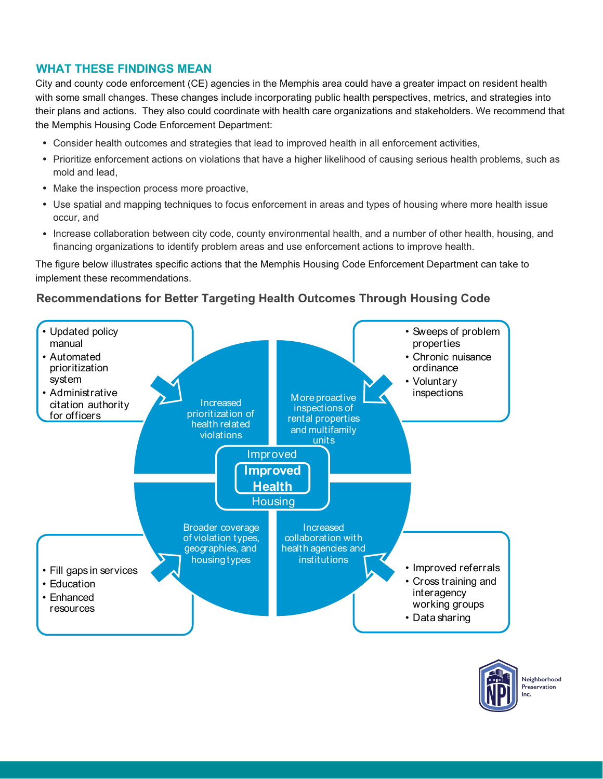## **WHAT THESE FINDINGS MEAN**

City and county code enforcement (CE) agencies in the Memphis area could have a greater impact on resident health with some small changes. These changes include incorporating public health perspectives, metrics, and strategies into their plans and actions. They also could coordinate with health care organizations and stakeholders. We recommend that the Memphis Housing Code Enforcement Department:

- Consider health outcomes and strategies that lead to improved health in all enforcement activities,
- Prioritize enforcement actions on violations that have a higher likelihood of causing serious health problems, such as mold and lead,
- Make the inspection process more proactive,
- Use spatial and mapping techniques to focus enforcement in areas and types of housing where more health issue occur, and
- Increase collaboration between city code, county environmental health, and a number of other health, housing, and financing organizations to identify problem areas and use enforcement actions to improve health.

The figure below illustrates specific actions that the Memphis Housing Code Enforcement Department can take to implement these recommendations.

## **Recommendations for Better Targeting Health Outcomes Through Housing Code**